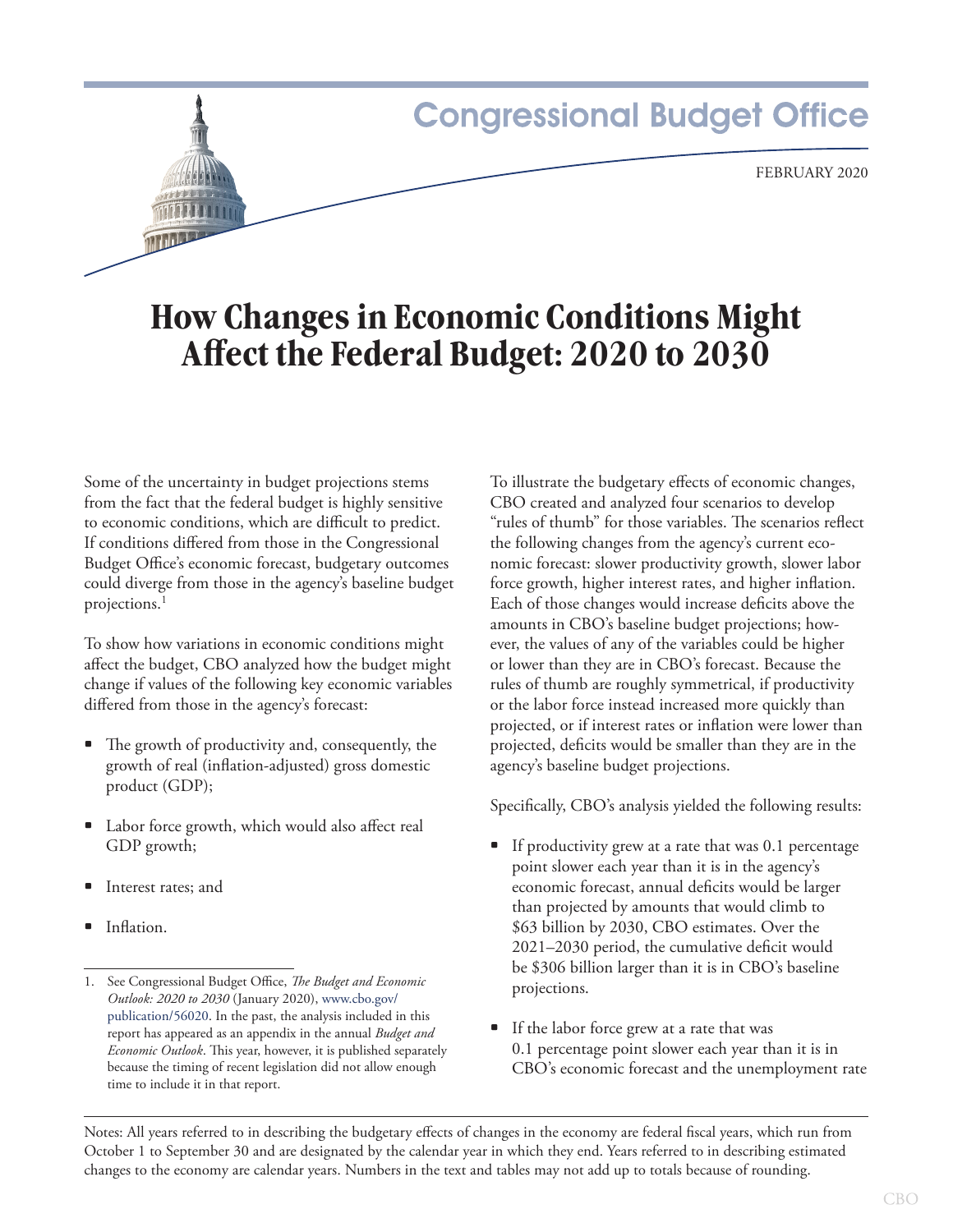# **Congressional Budget Office** February 2020

# **How Changes in Economic Conditions Might Affect the Federal Budget: 2020 to 2030**

Some of the uncertainty in budget projections stems from the fact that the federal budget is highly sensitive to economic conditions, which are difficult to predict. If conditions differed from those in the Congressional Budget Office's economic forecast, budgetary outcomes could diverge from those in the agency's baseline budget projections.<sup>1</sup>

To show how variations in economic conditions might affect the budget, CBO analyzed how the budget might change if values of the following key economic variables differed from those in the agency's forecast:

- The growth of productivity and, consequently, the growth of real (inflation-adjusted) gross domestic product (GDP);
- Labor force growth, which would also affect real GDP growth;
- Interest rates; and
- Inflation.

To illustrate the budgetary effects of economic changes, CBO created and analyzed four scenarios to develop "rules of thumb" for those variables. The scenarios reflect the following changes from the agency's current economic forecast: slower productivity growth, slower labor force growth, higher interest rates, and higher inflation. Each of those changes would increase deficits above the amounts in CBO's baseline budget projections; however, the values of any of the variables could be higher or lower than they are in CBO's forecast. Because the rules of thumb are roughly symmetrical, if productivity or the labor force instead increased more quickly than projected, or if interest rates or inflation were lower than projected, deficits would be smaller than they are in the agency's baseline budget projections.

Specifically, CBO's analysis yielded the following results:

- If productivity grew at a rate that was 0.1 percentage point slower each year than it is in the agency's economic forecast, annual deficits would be larger than projected by amounts that would climb to \$63 billion by 2030, CBO estimates. Over the 2021–2030 period, the cumulative deficit would be \$306 billion larger than it is in CBO's baseline projections.
- If the labor force grew at a rate that was 0.1 percentage point slower each year than it is in CBO's economic forecast and the unemployment rate

Notes: All years referred to in describing the budgetary effects of changes in the economy are federal fiscal years, which run from October 1 to September 30 and are designated by the calendar year in which they end. Years referred to in describing estimated changes to the economy are calendar years. Numbers in the text and tables may not add up to totals because of rounding.

<sup>1.</sup> See Congressional Budget Office, *The Budget and Economic Outlook: 2020 to 2030* (January 2020), [www.cbo.gov/](http://www.cbo.gov/publication/56020) [publication/56020](http://www.cbo.gov/publication/56020). In the past, the analysis included in this report has appeared as an appendix in the annual *Budget and Economic Outlook*. This year, however, it is published separately because the timing of recent legislation did not allow enough time to include it in that report.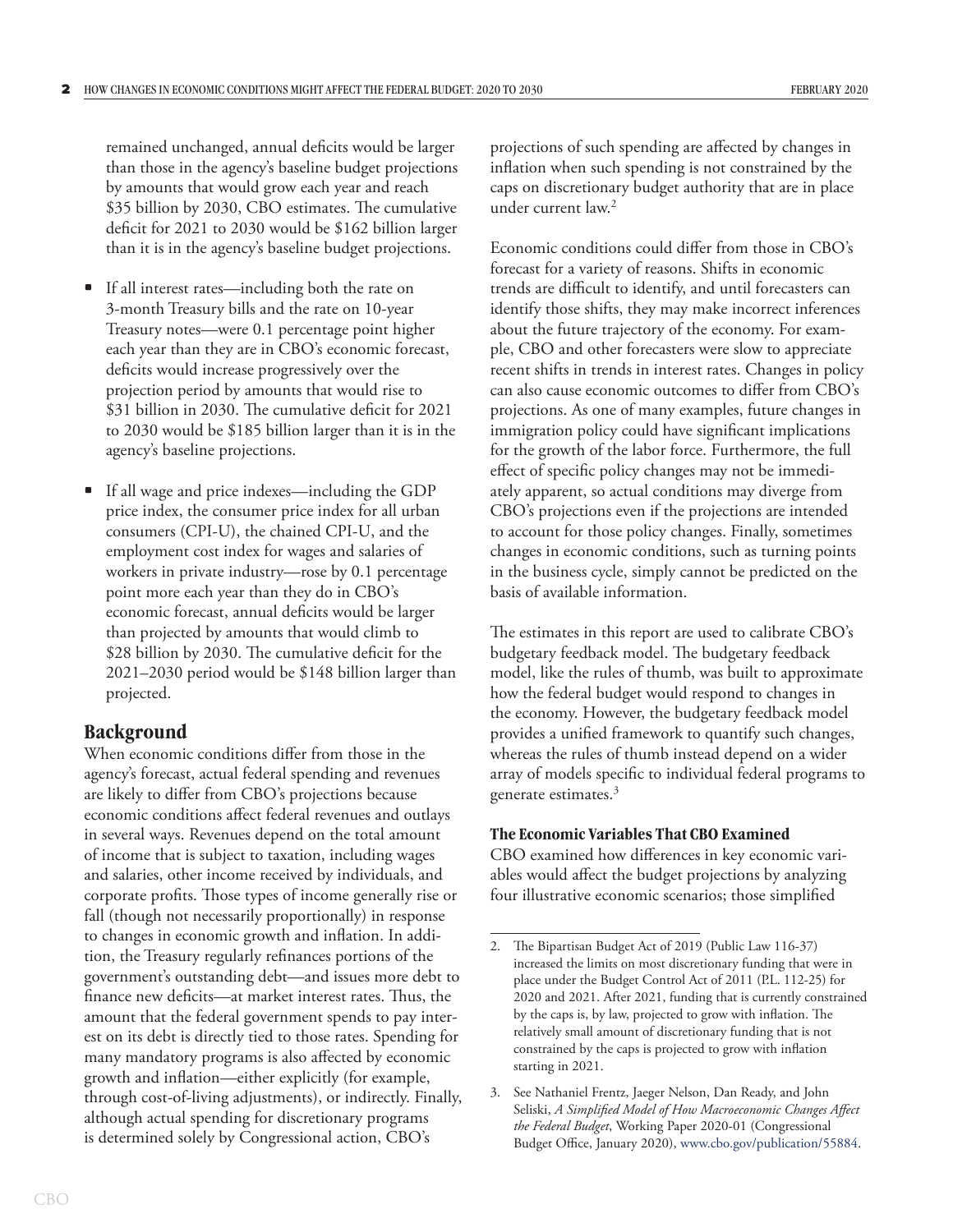remained unchanged, annual deficits would be larger than those in the agency's baseline budget projections by amounts that would grow each year and reach \$35 billion by 2030, CBO estimates. The cumulative deficit for 2021 to 2030 would be \$162 billion larger than it is in the agency's baseline budget projections.

- If all interest rates—including both the rate on 3-month Treasury bills and the rate on 10-year Treasury notes—were 0.1 percentage point higher each year than they are in CBO's economic forecast, deficits would increase progressively over the projection period by amounts that would rise to \$31 billion in 2030. The cumulative deficit for 2021 to 2030 would be \$185 billion larger than it is in the agency's baseline projections.
- If all wage and price indexes—including the GDP price index, the consumer price index for all urban consumers (CPI-U), the chained CPI-U, and the employment cost index for wages and salaries of workers in private industry—rose by 0.1 percentage point more each year than they do in CBO's economic forecast, annual deficits would be larger than projected by amounts that would climb to \$28 billion by 2030. The cumulative deficit for the 2021–2030 period would be \$148 billion larger than projected.

# **Background**

When economic conditions differ from those in the agency's forecast, actual federal spending and revenues are likely to differ from CBO's projections because economic conditions affect federal revenues and outlays in several ways. Revenues depend on the total amount of income that is subject to taxation, including wages and salaries, other income received by individuals, and corporate profits. Those types of income generally rise or fall (though not necessarily proportionally) in response to changes in economic growth and inflation. In addition, the Treasury regularly refinances portions of the government's outstanding debt—and issues more debt to finance new deficits—at market interest rates. Thus, the amount that the federal government spends to pay interest on its debt is directly tied to those rates. Spending for many mandatory programs is also affected by economic growth and inflation—either explicitly (for example, through cost-of-living adjustments), or indirectly. Finally, although actual spending for discretionary programs is determined solely by Congressional action, CBO's

projections of such spending are affected by changes in inflation when such spending is not constrained by the caps on discretionary budget authority that are in place under current law.2

Economic conditions could differ from those in CBO's forecast for a variety of reasons. Shifts in economic trends are difficult to identify, and until forecasters can identify those shifts, they may make incorrect inferences about the future trajectory of the economy. For example, CBO and other forecasters were slow to appreciate recent shifts in trends in interest rates. Changes in policy can also cause economic outcomes to differ from CBO's projections. As one of many examples, future changes in immigration policy could have significant implications for the growth of the labor force. Furthermore, the full effect of specific policy changes may not be immediately apparent, so actual conditions may diverge from CBO's projections even if the projections are intended to account for those policy changes. Finally, sometimes changes in economic conditions, such as turning points in the business cycle, simply cannot be predicted on the basis of available information.

The estimates in this report are used to calibrate CBO's budgetary feedback model. The budgetary feedback model, like the rules of thumb, was built to approximate how the federal budget would respond to changes in the economy. However, the budgetary feedback model provides a unified framework to quantify such changes, whereas the rules of thumb instead depend on a wider array of models specific to individual federal programs to generate estimates.<sup>3</sup>

# **The Economic Variables That CBO Examined**

CBO examined how differences in key economic variables would affect the budget projections by analyzing four illustrative economic scenarios; those simplified

<sup>2.</sup> The Bipartisan Budget Act of 2019 (Public Law 116-37) increased the limits on most discretionary funding that were in place under the Budget Control Act of 2011 (P.L. 112-25) for 2020 and 2021. After 2021, funding that is currently constrained by the caps is, by law, projected to grow with inflation. The relatively small amount of discretionary funding that is not constrained by the caps is projected to grow with inflation starting in 2021.

<sup>3.</sup> See Nathaniel Frentz, Jaeger Nelson, Dan Ready, and John Seliski, *A Simplified Model of How Macroeconomic Changes Affect the Federal Budget*, Working Paper 2020-01 (Congressional Budget Office, January 2020), [www.cbo.gov/publication/55884](https://www.cbo.gov/publication/55884).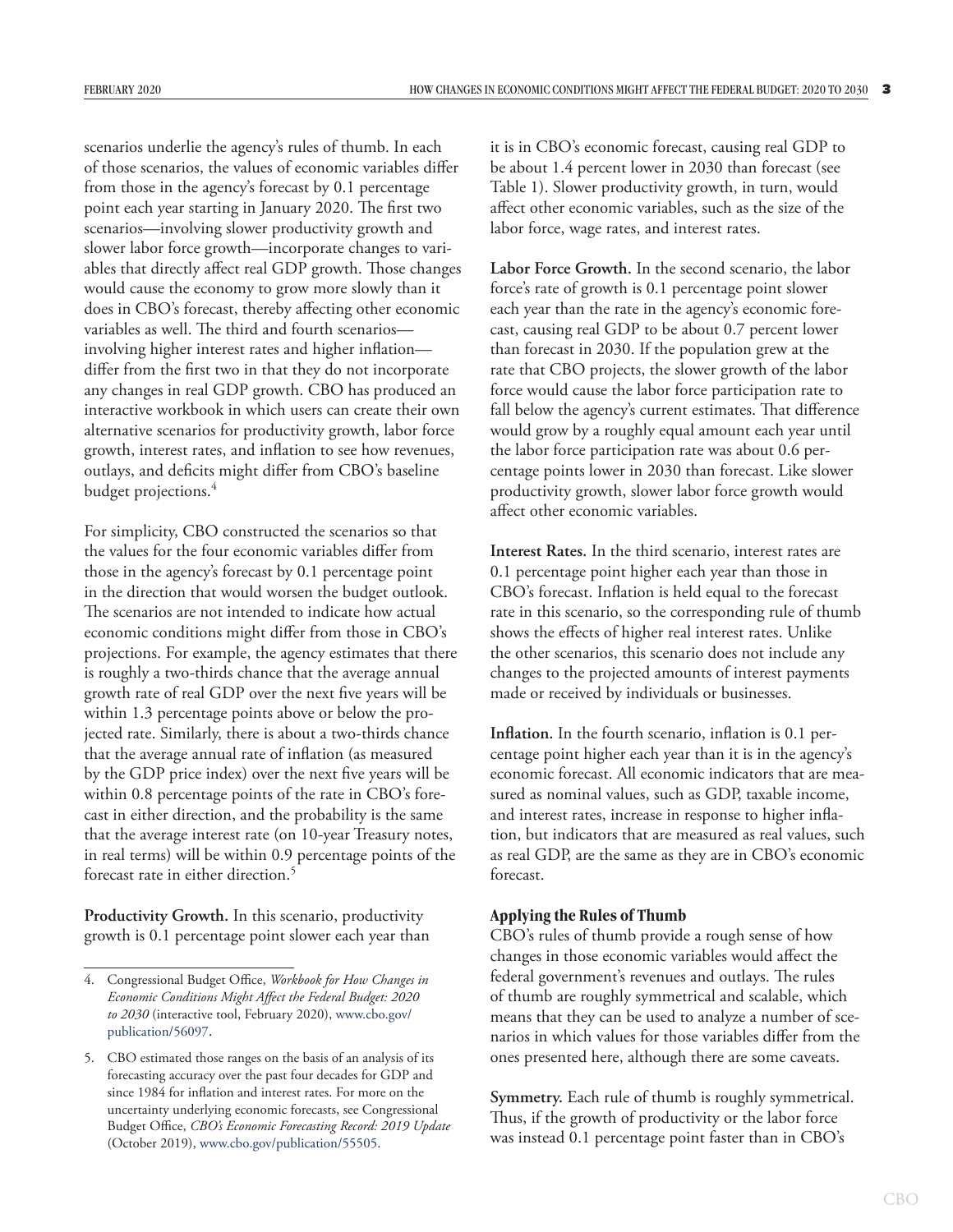scenarios underlie the agency's rules of thumb. In each of those scenarios, the values of economic variables differ from those in the agency's forecast by 0.1 percentage point each year starting in January 2020. The first two scenarios—involving slower productivity growth and slower labor force growth—incorporate changes to variables that directly affect real GDP growth. Those changes would cause the economy to grow more slowly than it does in CBO's forecast, thereby affecting other economic variables as well. The third and fourth scenarios involving higher interest rates and higher inflation differ from the first two in that they do not incorporate any changes in real GDP growth. CBO has produced an interactive workbook in which users can create their own alternative scenarios for productivity growth, labor force growth, interest rates, and inflation to see how revenues, outlays, and deficits might differ from CBO's baseline budget projections.<sup>4</sup>

For simplicity, CBO constructed the scenarios so that the values for the four economic variables differ from those in the agency's forecast by 0.1 percentage point in the direction that would worsen the budget outlook. The scenarios are not intended to indicate how actual economic conditions might differ from those in CBO's projections. For example, the agency estimates that there is roughly a two-thirds chance that the average annual growth rate of real GDP over the next five years will be within 1.3 percentage points above or below the projected rate. Similarly, there is about a two-thirds chance that the average annual rate of inflation (as measured by the GDP price index) over the next five years will be within 0.8 percentage points of the rate in CBO's forecast in either direction, and the probability is the same that the average interest rate (on 10-year Treasury notes, in real terms) will be within 0.9 percentage points of the forecast rate in either direction.<sup>5</sup>

Productivity Growth. In this scenario, productivity growth is 0.1 percentage point slower each year than it is in CBO's economic forecast, causing real GDP to be about 1.4 percent lower in 2030 than forecast (see [Table 1](#page-3-0)). Slower productivity growth, in turn, would affect other economic variables, such as the size of the labor force, wage rates, and interest rates.

**Labor Force Growth.** In the second scenario, the labor force's rate of growth is 0.1 percentage point slower each year than the rate in the agency's economic forecast, causing real GDP to be about 0.7 percent lower than forecast in 2030. If the population grew at the rate that CBO projects, the slower growth of the labor force would cause the labor force participation rate to fall below the agency's current estimates. That difference would grow by a roughly equal amount each year until the labor force participation rate was about 0.6 percentage points lower in 2030 than forecast. Like slower productivity growth, slower labor force growth would affect other economic variables.

**Interest Rates.** In the third scenario, interest rates are 0.1 percentage point higher each year than those in CBO's forecast. Inflation is held equal to the forecast rate in this scenario, so the corresponding rule of thumb shows the effects of higher real interest rates. Unlike the other scenarios, this scenario does not include any changes to the projected amounts of interest payments made or received by individuals or businesses.

**Inflation.** In the fourth scenario, inflation is 0.1 percentage point higher each year than it is in the agency's economic forecast. All economic indicators that are measured as nominal values, such as GDP, taxable income, and interest rates, increase in response to higher inflation, but indicators that are measured as real values, such as real GDP, are the same as they are in CBO's economic forecast.

#### **Applying the Rules of Thumb**

CBO's rules of thumb provide a rough sense of how changes in those economic variables would affect the federal government's revenues and outlays. The rules of thumb are roughly symmetrical and scalable, which means that they can be used to analyze a number of scenarios in which values for those variables differ from the ones presented here, although there are some caveats.

**Symmetry.** Each rule of thumb is roughly symmetrical. Thus, if the growth of productivity or the labor force was instead 0.1 percentage point faster than in CBO's

<sup>4.</sup> Congressional Budget Office, *Workbook for How Changes in Economic Conditions Might Affect the Federal Budget: 2020 to 2030* (interactive tool, February 2020), [www.cbo.gov/](http://www.cbo.gov/publication/56097) [publication/56097](http://www.cbo.gov/publication/56097).

<sup>5.</sup> CBO estimated those ranges on the basis of an analysis of its forecasting accuracy over the past four decades for GDP and since 1984 for inflation and interest rates. For more on the uncertainty underlying economic forecasts, see Congressional Budget Office, *CBO's Economic Forecasting Record: 2019 Update* (October 2019), [www.cbo.gov/publication/55505.](https://www.cbo.gov/publication/55505)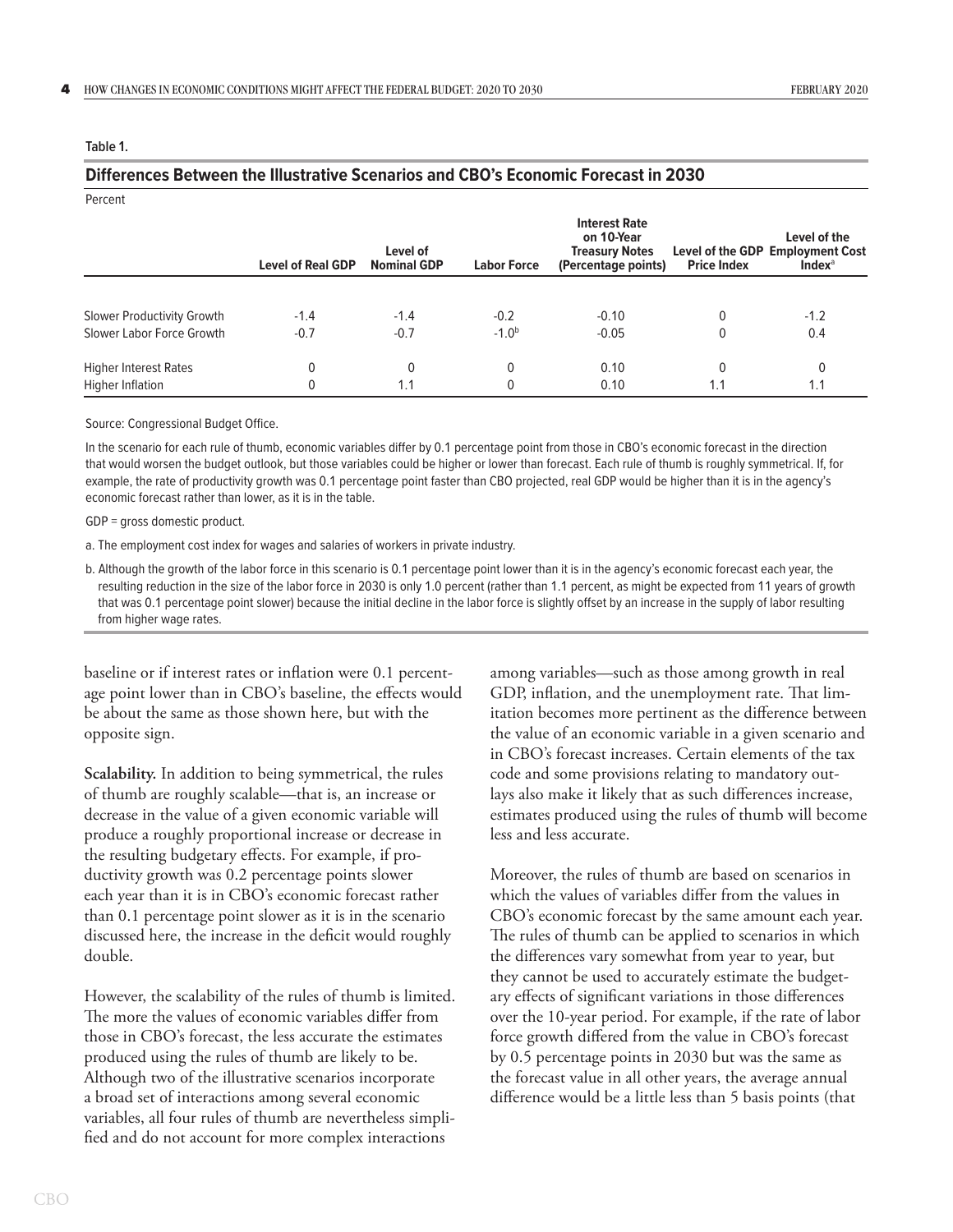| Percent                      |                          |                                |                    |                                                                                    |                    |                                                                               |
|------------------------------|--------------------------|--------------------------------|--------------------|------------------------------------------------------------------------------------|--------------------|-------------------------------------------------------------------------------|
|                              | <b>Level of Real GDP</b> | Level of<br><b>Nominal GDP</b> | <b>Labor Force</b> | <b>Interest Rate</b><br>on 10-Year<br><b>Treasury Notes</b><br>(Percentage points) | <b>Price Index</b> | Level of the<br>Level of the GDP Employment Cost<br><b>Index</b> <sup>a</sup> |
|                              |                          |                                |                    |                                                                                    |                    |                                                                               |
| Slower Productivity Growth   | $-1.4$                   | $-1.4$                         | $-0.2$             | $-0.10$                                                                            | 0                  | $-1.2$                                                                        |
| Slower Labor Force Growth    | $-0.7$                   | $-0.7$                         | $-1.0b$            | $-0.05$                                                                            | 0                  | 0.4                                                                           |
| <b>Higher Interest Rates</b> | 0                        | 0                              | 0                  | 0.10                                                                               | 0                  | 0                                                                             |
| Higher Inflation             | 0                        | 1.1                            | 0                  | 0.10                                                                               | 1.1                | 1.1                                                                           |

**Differences Between the Illustrative Scenarios and CBO's Economic Forecast in 2030**

#### <span id="page-3-0"></span>**Table 1.**

# Source: Congressional Budget Office.

In the scenario for each rule of thumb, economic variables differ by 0.1 percentage point from those in CBO's economic forecast in the direction that would worsen the budget outlook, but those variables could be higher or lower than forecast. Each rule of thumb is roughly symmetrical. If, for example, the rate of productivity growth was 0.1 percentage point faster than CBO projected, real GDP would be higher than it is in the agency's economic forecast rather than lower, as it is in the table.

GDP = gross domestic product.

a. The employment cost index for wages and salaries of workers in private industry.

b. Although the growth of the labor force in this scenario is 0.1 percentage point lower than it is in the agency's economic forecast each year, the resulting reduction in the size of the labor force in 2030 is only 1.0 percent (rather than 1.1 percent, as might be expected from 11 years of growth that was 0.1 percentage point slower) because the initial decline in the labor force is slightly offset by an increase in the supply of labor resulting from higher wage rates.

baseline or if interest rates or inflation were 0.1 percentage point lower than in CBO's baseline, the effects would be about the same as those shown here, but with the opposite sign.

**Scalability.** In addition to being symmetrical, the rules of thumb are roughly scalable—that is, an increase or decrease in the value of a given economic variable will produce a roughly proportional increase or decrease in the resulting budgetary effects. For example, if productivity growth was 0.2 percentage points slower each year than it is in CBO's economic forecast rather than 0.1 percentage point slower as it is in the scenario discussed here, the increase in the deficit would roughly double.

However, the scalability of the rules of thumb is limited. The more the values of economic variables differ from those in CBO's forecast, the less accurate the estimates produced using the rules of thumb are likely to be. Although two of the illustrative scenarios incorporate a broad set of interactions among several economic variables, all four rules of thumb are nevertheless simplified and do not account for more complex interactions

among variables—such as those among growth in real GDP, inflation, and the unemployment rate. That limitation becomes more pertinent as the difference between the value of an economic variable in a given scenario and in CBO's forecast increases. Certain elements of the tax code and some provisions relating to mandatory outlays also make it likely that as such differences increase, estimates produced using the rules of thumb will become less and less accurate.

Moreover, the rules of thumb are based on scenarios in which the values of variables differ from the values in CBO's economic forecast by the same amount each year. The rules of thumb can be applied to scenarios in which the differences vary somewhat from year to year, but they cannot be used to accurately estimate the budgetary effects of significant variations in those differences over the 10-year period. For example, if the rate of labor force growth differed from the value in CBO's forecast by 0.5 percentage points in 2030 but was the same as the forecast value in all other years, the average annual difference would be a little less than 5 basis points (that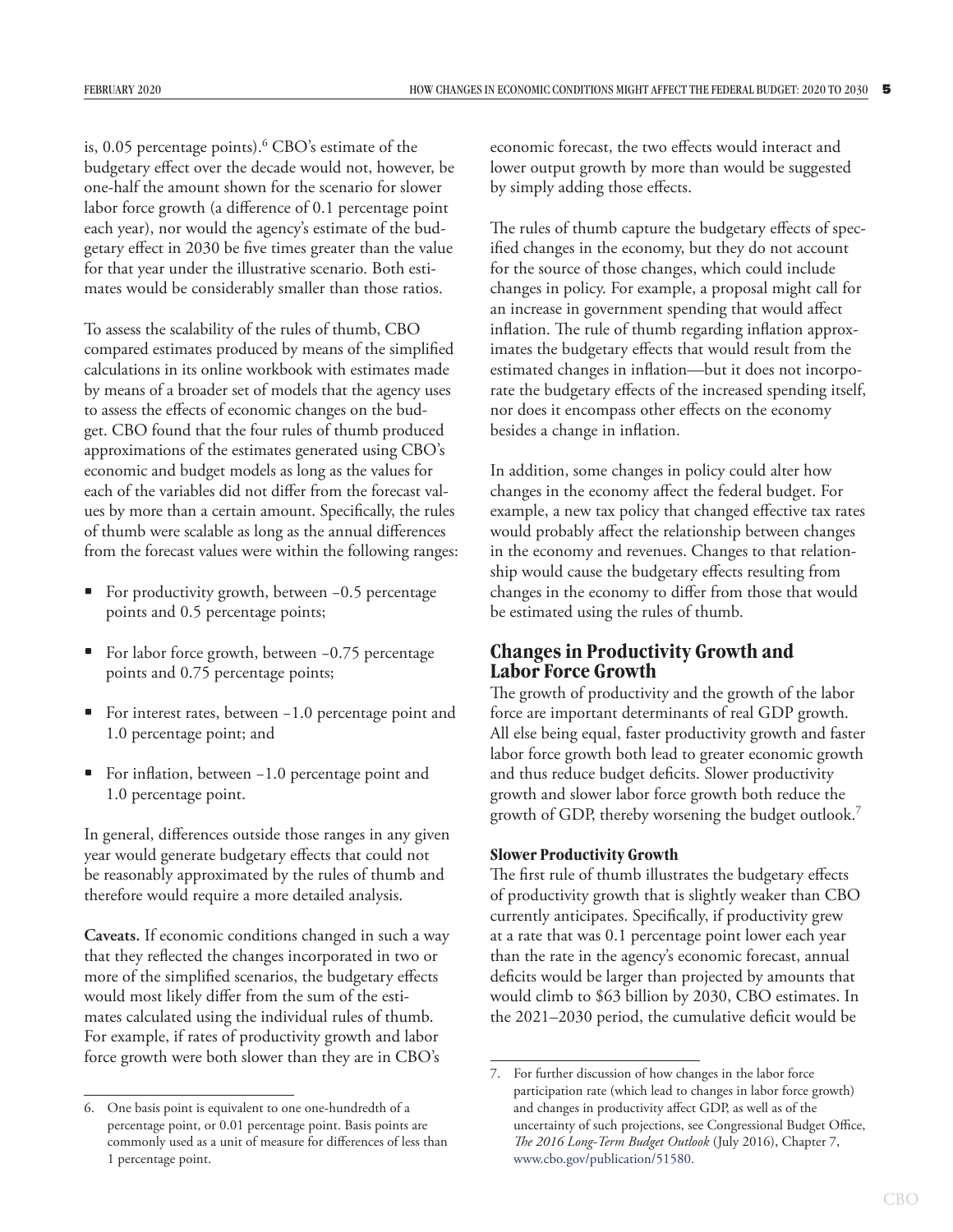is, 0.05 percentage points).<sup>6</sup> CBO's estimate of the budgetary effect over the decade would not, however, be one-half the amount shown for the scenario for slower labor force growth (a difference of 0.1 percentage point each year), nor would the agency's estimate of the budgetary effect in 2030 be five times greater than the value for that year under the illustrative scenario. Both estimates would be considerably smaller than those ratios.

To assess the scalability of the rules of thumb, CBO compared estimates produced by means of the simplified calculations in its online workbook with estimates made by means of a broader set of models that the agency uses to assess the effects of economic changes on the budget. CBO found that the four rules of thumb produced approximations of the estimates generated using CBO's economic and budget models as long as the values for each of the variables did not differ from the forecast values by more than a certain amount. Specifically, the rules of thumb were scalable as long as the annual differences from the forecast values were within the following ranges:

- For productivity growth, between −0.5 percentage points and 0.5 percentage points;
- For labor force growth, between −0.75 percentage points and 0.75 percentage points;
- For interest rates, between −1.0 percentage point and 1.0 percentage point; and
- For inflation, between −1.0 percentage point and 1.0 percentage point.

In general, differences outside those ranges in any given year would generate budgetary effects that could not be reasonably approximated by the rules of thumb and therefore would require a more detailed analysis.

**Caveats.** If economic conditions changed in such a way that they reflected the changes incorporated in two or more of the simplified scenarios, the budgetary effects would most likely differ from the sum of the estimates calculated using the individual rules of thumb. For example, if rates of productivity growth and labor force growth were both slower than they are in CBO's

economic forecast, the two effects would interact and lower output growth by more than would be suggested by simply adding those effects.

The rules of thumb capture the budgetary effects of specified changes in the economy, but they do not account for the source of those changes, which could include changes in policy. For example, a proposal might call for an increase in government spending that would affect inflation. The rule of thumb regarding inflation approximates the budgetary effects that would result from the estimated changes in inflation—but it does not incorporate the budgetary effects of the increased spending itself, nor does it encompass other effects on the economy besides a change in inflation.

In addition, some changes in policy could alter how changes in the economy affect the federal budget. For example, a new tax policy that changed effective tax rates would probably affect the relationship between changes in the economy and revenues. Changes to that relationship would cause the budgetary effects resulting from changes in the economy to differ from those that would be estimated using the rules of thumb.

# **Changes in Productivity Growth and Labor Force Growth**

The growth of productivity and the growth of the labor force are important determinants of real GDP growth. All else being equal, faster productivity growth and faster labor force growth both lead to greater economic growth and thus reduce budget deficits. Slower productivity growth and slower labor force growth both reduce the growth of GDP, thereby worsening the budget outlook.7

#### **Slower Productivity Growth**

The first rule of thumb illustrates the budgetary effects of productivity growth that is slightly weaker than CBO currently anticipates. Specifically, if productivity grew at a rate that was 0.1 percentage point lower each year than the rate in the agency's economic forecast, annual deficits would be larger than projected by amounts that would climb to \$63 billion by 2030, CBO estimates. In the 2021–2030 period, the cumulative deficit would be

<sup>6.</sup> One basis point is equivalent to one one-hundredth of a percentage point, or 0.01 percentage point. Basis points are commonly used as a unit of measure for differences of less than 1 percentage point.

<sup>7.</sup> For further discussion of how changes in the labor force participation rate (which lead to changes in labor force growth) and changes in productivity affect GDP, as well as of the uncertainty of such projections, see Congressional Budget Office, *The 2016 Long-Term Budget Outlook* (July 2016), Chapter 7, [www.cbo.gov/publication/51580](http://www.cbo.gov/publication/51580).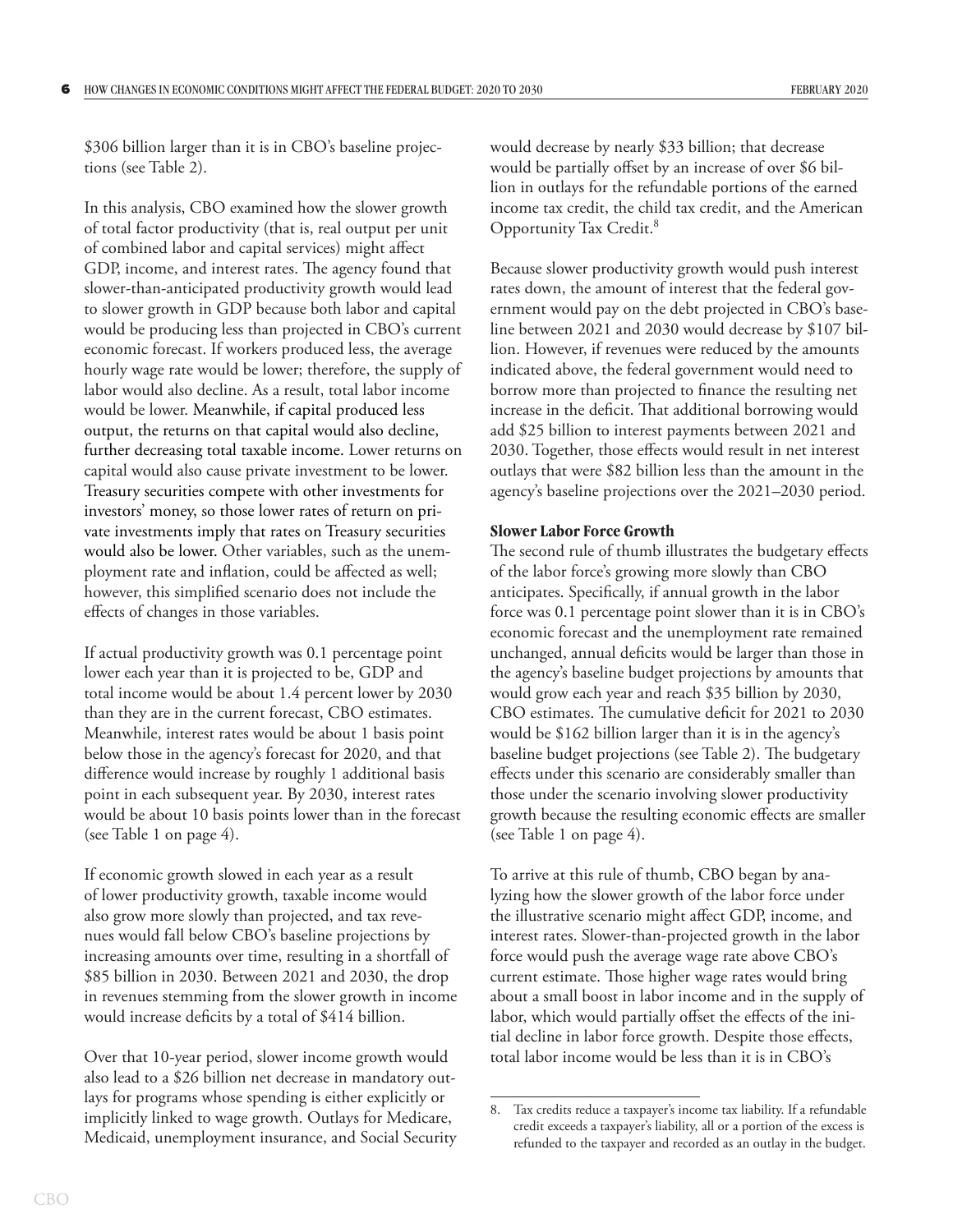\$306 billion larger than it is in CBO's baseline projections (see [Table 2\)](#page-6-0).

In this analysis, CBO examined how the slower growth of total factor productivity (that is, real output per unit of combined labor and capital services) might affect GDP, income, and interest rates. The agency found that slower-than-anticipated productivity growth would lead to slower growth in GDP because both labor and capital would be producing less than projected in CBO's current economic forecast. If workers produced less, the average hourly wage rate would be lower; therefore, the supply of labor would also decline. As a result, total labor income would be lower. Meanwhile, if capital produced less output, the returns on that capital would also decline, further decreasing total taxable income. Lower returns on capital would also cause private investment to be lower. Treasury securities compete with other investments for investors' money, so those lower rates of return on private investments imply that rates on Treasury securities would also be lower. Other variables, such as the unemployment rate and inflation, could be affected as well; however, this simplified scenario does not include the effects of changes in those variables.

If actual productivity growth was 0.1 percentage point lower each year than it is projected to be, GDP and total income would be about 1.4 percent lower by 2030 than they are in the current forecast, CBO estimates. Meanwhile, interest rates would be about 1 basis point below those in the agency's forecast for 2020, and that difference would increase by roughly 1 additional basis point in each subsequent year. By 2030, interest rates would be about 10 basis points lower than in the forecast (see [Table 1 on page 4\)](#page-3-0).

If economic growth slowed in each year as a result of lower productivity growth, taxable income would also grow more slowly than projected, and tax revenues would fall below CBO's baseline projections by increasing amounts over time, resulting in a shortfall of \$85 billion in 2030. Between 2021 and 2030, the drop in revenues stemming from the slower growth in income would increase deficits by a total of \$414 billion.

Over that 10-year period, slower income growth would also lead to a \$26 billion net decrease in mandatory outlays for programs whose spending is either explicitly or implicitly linked to wage growth. Outlays for Medicare, Medicaid, unemployment insurance, and Social Security would decrease by nearly \$33 billion; that decrease would be partially offset by an increase of over \$6 billion in outlays for the refundable portions of the earned income tax credit, the child tax credit, and the American Opportunity Tax Credit.8

Because slower productivity growth would push interest rates down, the amount of interest that the federal government would pay on the debt projected in CBO's baseline between 2021 and 2030 would decrease by \$107 billion. However, if revenues were reduced by the amounts indicated above, the federal government would need to borrow more than projected to finance the resulting net increase in the deficit. That additional borrowing would add \$25 billion to interest payments between 2021 and 2030. Together, those effects would result in net interest outlays that were \$82 billion less than the amount in the agency's baseline projections over the 2021–2030 period.

#### **Slower Labor Force Growth**

The second rule of thumb illustrates the budgetary effects of the labor force's growing more slowly than CBO anticipates. Specifically, if annual growth in the labor force was 0.1 percentage point slower than it is in CBO's economic forecast and the unemployment rate remained unchanged, annual deficits would be larger than those in the agency's baseline budget projections by amounts that would grow each year and reach \$35 billion by 2030, CBO estimates. The cumulative deficit for 2021 to 2030 would be \$162 billion larger than it is in the agency's baseline budget projections (see [Table 2](#page-6-0)). The budgetary effects under this scenario are considerably smaller than those under the scenario involving slower productivity growth because the resulting economic effects are smaller (see [Table 1 on page 4\)](#page-3-0).

To arrive at this rule of thumb, CBO began by analyzing how the slower growth of the labor force under the illustrative scenario might affect GDP, income, and interest rates. Slower-than-projected growth in the labor force would push the average wage rate above CBO's current estimate. Those higher wage rates would bring about a small boost in labor income and in the supply of labor, which would partially offset the effects of the initial decline in labor force growth. Despite those effects, total labor income would be less than it is in CBO's

<sup>8.</sup> Tax credits reduce a taxpayer's income tax liability. If a refundable credit exceeds a taxpayer's liability, all or a portion of the excess is refunded to the taxpayer and recorded as an outlay in the budget.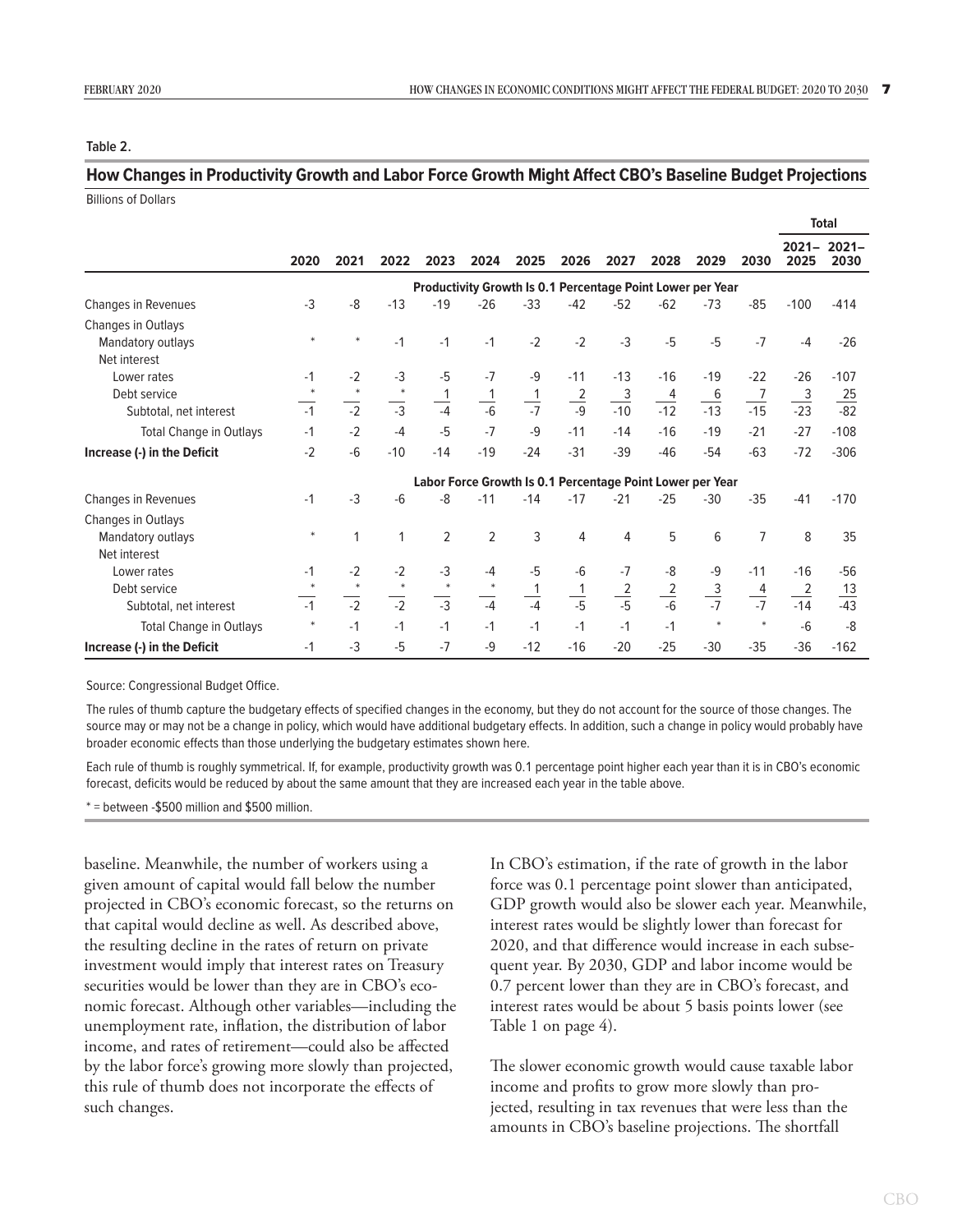#### <span id="page-6-0"></span>**Table 2.**

## **How Changes in Productivity Growth and Labor Force Growth Might Affect CBO's Baseline Budget Projections** Billions of Dollars

|                                |                                                            |                 |                 |                 |                |                |                 |                 |                 |                 |                 |                  | <b>Total</b>     |
|--------------------------------|------------------------------------------------------------|-----------------|-----------------|-----------------|----------------|----------------|-----------------|-----------------|-----------------|-----------------|-----------------|------------------|------------------|
|                                | 2020                                                       | 2021            | 2022            | 2023            | 2024           | 2025           | 2026            | 2027            | 2028            | 2029            | 2030            | $2021 -$<br>2025 | $2021 -$<br>2030 |
|                                | Productivity Growth Is 0.1 Percentage Point Lower per Year |                 |                 |                 |                |                |                 |                 |                 |                 |                 |                  |                  |
| Changes in Revenues            | $-3$                                                       | -8              | $-13$           | $-19$           | $-26$          | $-33$          | $-42$           | $-52$           | $-62$           | $-73$           | $-85$           | $-100$           | $-414$           |
| Changes in Outlays             |                                                            |                 |                 |                 |                |                |                 |                 |                 |                 |                 |                  |                  |
| Mandatory outlays              | $\ast$                                                     | $\ast$          | $-1$            | $-1$            | $-1$           | $-2$           | $-2$            | $-3$            | $-5$            | $-5$            | $-7$            | $-4$             | $-26$            |
| Net interest                   |                                                            |                 |                 |                 |                |                |                 |                 |                 |                 |                 |                  |                  |
| Lower rates                    | $-1$                                                       | $-2$            | $-3$            | $-5$            | $-7$           | -9             | $-11$           | $-13$           | $-16$           | $-19$           | $-22$           | $-26$            | $-107$           |
| Debt service                   | $\ast$                                                     | $\ast$          | $\ast$          | 1               | 1              | $\frac{1}{-7}$ | $\frac{2}{-9}$  | $\frac{3}{-10}$ | $\frac{4}{-12}$ | $\frac{6}{-13}$ | $\frac{7}{2}$   | $\overline{3}$   | $\frac{25}{-82}$ |
| Subtotal, net interest         | $-1$                                                       | $\overline{-2}$ | $\overline{-3}$ | $\frac{1}{-4}$  | $\frac{1}{-6}$ |                |                 |                 |                 |                 | $-15$           | $-23$            |                  |
| Total Change in Outlays        | $-1$                                                       | $-2$            | $-4$            | $-5$            | $-7$           | $-9$           | $-11$           | $-14$           | $-16$           | $-19$           | $-21$           | $-27$            | $-108$           |
| Increase (-) in the Deficit    | $-2$                                                       | $-6$            | $-10$           | $-14$           | $-19$          | $-24$          | $-31$           | $-39$           | $-46$           | $-54$           | $-63$           | $-72$            | $-306$           |
|                                | Labor Force Growth Is 0.1 Percentage Point Lower per Year  |                 |                 |                 |                |                |                 |                 |                 |                 |                 |                  |                  |
| <b>Changes in Revenues</b>     | $-1$                                                       | $-3$            | $-6$            | -8              | $-11$          | $-14$          | $-17$           | $-21$           | $-25$           | $-30$           | $-35$           | $-41$            | $-170$           |
| Changes in Outlays             |                                                            |                 |                 |                 |                |                |                 |                 |                 |                 |                 |                  |                  |
| Mandatory outlays              | $\ast$                                                     | 1               | 1               | $\overline{2}$  | 2              | 3              | 4               | 4               | 5               | 6               | $\overline{7}$  | 8                | 35               |
| Net interest                   |                                                            |                 |                 |                 |                |                |                 |                 |                 |                 |                 |                  |                  |
| Lower rates                    | $-1$                                                       | $-2$            | $-2$            | $-3$            | $-4$           | $-5$           | $-6$            | $-7$            | -8              | $-9$            | $-11$           | $-16$            | $-56$            |
| Debt service                   | $\ast$                                                     | $\ast$          | $\ast$          | $\ast$          | $\ast$         |                |                 | $\frac{2}{-5}$  | $\frac{2}{-6}$  | $\frac{3}{-7}$  | 4               |                  | $\frac{13}{-43}$ |
| Subtotal, net interest         | $-1$                                                       | $\overline{-2}$ | $\overline{-2}$ | $\overline{-3}$ | $-4$           | $-4$           | $\overline{-5}$ |                 |                 |                 | $\overline{.7}$ | $-14$            |                  |
| <b>Total Change in Outlays</b> | $\ast$                                                     | $-1$            | $-1$            | $-1$            | $-1$           | $-1$           | $-1$            | $-1$            | $-1$            | $\ast$          | $\ast$          | $-6$             | -8               |
| Increase (-) in the Deficit    | $-1$                                                       | $-3$            | $-5$            | $-7$            | $-9$           | $-12$          | $-16$           | $-20$           | $-25$           | $-30$           | $-35$           | $-36$            | $-162$           |

Source: Congressional Budget Office.

The rules of thumb capture the budgetary effects of specified changes in the economy, but they do not account for the source of those changes. The source may or may not be a change in policy, which would have additional budgetary effects. In addition, such a change in policy would probably have broader economic effects than those underlying the budgetary estimates shown here.

Each rule of thumb is roughly symmetrical. If, for example, productivity growth was 0.1 percentage point higher each year than it is in CBO's economic forecast, deficits would be reduced by about the same amount that they are increased each year in the table above.

\* = between -\$500 million and \$500 million.

baseline. Meanwhile, the number of workers using a given amount of capital would fall below the number projected in CBO's economic forecast, so the returns on that capital would decline as well. As described above, the resulting decline in the rates of return on private investment would imply that interest rates on Treasury securities would be lower than they are in CBO's economic forecast. Although other variables—including the unemployment rate, inflation, the distribution of labor income, and rates of retirement—could also be affected by the labor force's growing more slowly than projected, this rule of thumb does not incorporate the effects of such changes.

In CBO's estimation, if the rate of growth in the labor force was 0.1 percentage point slower than anticipated, GDP growth would also be slower each year. Meanwhile, interest rates would be slightly lower than forecast for 2020, and that difference would increase in each subsequent year. By 2030, GDP and labor income would be 0.7 percent lower than they are in CBO's forecast, and interest rates would be about 5 basis points lower (see [Table 1 on page 4](#page-3-0)).

The slower economic growth would cause taxable labor income and profits to grow more slowly than projected, resulting in tax revenues that were less than the amounts in CBO's baseline projections. The shortfall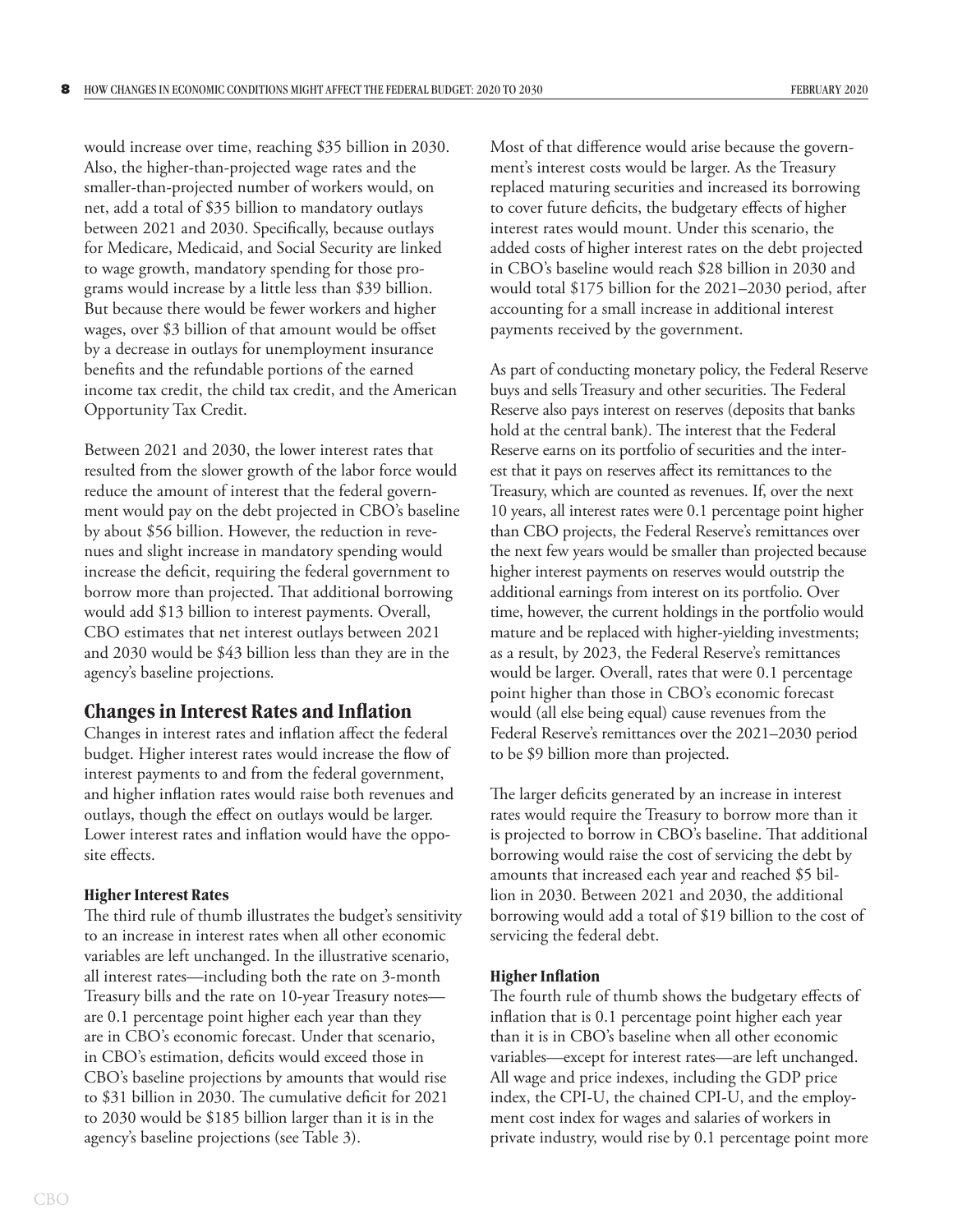would increase over time, reaching \$35 billion in 2030. Also, the higher-than-projected wage rates and the smaller-than-projected number of workers would, on net, add a total of \$35 billion to mandatory outlays between 2021 and 2030. Specifically, because outlays for Medicare, Medicaid, and Social Security are linked to wage growth, mandatory spending for those programs would increase by a little less than \$39 billion. But because there would be fewer workers and higher wages, over \$3 billion of that amount would be offset by a decrease in outlays for unemployment insurance benefits and the refundable portions of the earned income tax credit, the child tax credit, and the American Opportunity Tax Credit.

Between 2021 and 2030, the lower interest rates that resulted from the slower growth of the labor force would reduce the amount of interest that the federal government would pay on the debt projected in CBO's baseline by about \$56 billion. However, the reduction in revenues and slight increase in mandatory spending would increase the deficit, requiring the federal government to borrow more than projected. That additional borrowing would add \$13 billion to interest payments. Overall, CBO estimates that net interest outlays between 2021 and 2030 would be \$43 billion less than they are in the agency's baseline projections.

# **Changes in Interest Rates and Inflation**

Changes in interest rates and inflation affect the federal budget. Higher interest rates would increase the flow of interest payments to and from the federal government, and higher inflation rates would raise both revenues and outlays, though the effect on outlays would be larger. Lower interest rates and inflation would have the opposite effects.

#### **Higher Interest Rates**

The third rule of thumb illustrates the budget's sensitivity to an increase in interest rates when all other economic variables are left unchanged. In the illustrative scenario, all interest rates—including both the rate on 3-month Treasury bills and the rate on 10-year Treasury notes are 0.1 percentage point higher each year than they are in CBO's economic forecast. Under that scenario, in CBO's estimation, deficits would exceed those in CBO's baseline projections by amounts that would rise to \$31 billion in 2030. The cumulative deficit for 2021 to 2030 would be \$185 billion larger than it is in the agency's baseline projections (see [Table 3\)](#page-8-0).

Most of that difference would arise because the government's interest costs would be larger. As the Treasury replaced maturing securities and increased its borrowing to cover future deficits, the budgetary effects of higher interest rates would mount. Under this scenario, the added costs of higher interest rates on the debt projected in CBO's baseline would reach \$28 billion in 2030 and would total \$175 billion for the 2021–2030 period, after accounting for a small increase in additional interest payments received by the government.

As part of conducting monetary policy, the Federal Reserve buys and sells Treasury and other securities. The Federal Reserve also pays interest on reserves (deposits that banks hold at the central bank). The interest that the Federal Reserve earns on its portfolio of securities and the interest that it pays on reserves affect its remittances to the Treasury, which are counted as revenues. If, over the next 10 years, all interest rates were 0.1 percentage point higher than CBO projects, the Federal Reserve's remittances over the next few years would be smaller than projected because higher interest payments on reserves would outstrip the additional earnings from interest on its portfolio. Over time, however, the current holdings in the portfolio would mature and be replaced with higher-yielding investments; as a result, by 2023, the Federal Reserve's remittances would be larger. Overall, rates that were 0.1 percentage point higher than those in CBO's economic forecast would (all else being equal) cause revenues from the Federal Reserve's remittances over the 2021–2030 period to be \$9 billion more than projected.

The larger deficits generated by an increase in interest rates would require the Treasury to borrow more than it is projected to borrow in CBO's baseline. That additional borrowing would raise the cost of servicing the debt by amounts that increased each year and reached \$5 billion in 2030. Between 2021 and 2030, the additional borrowing would add a total of \$19 billion to the cost of servicing the federal debt.

#### **Higher Inflation**

The fourth rule of thumb shows the budgetary effects of inflation that is 0.1 percentage point higher each year than it is in CBO's baseline when all other economic variables—except for interest rates—are left unchanged. All wage and price indexes, including the GDP price index, the CPI-U, the chained CPI-U, and the employment cost index for wages and salaries of workers in private industry, would rise by 0.1 percentage point more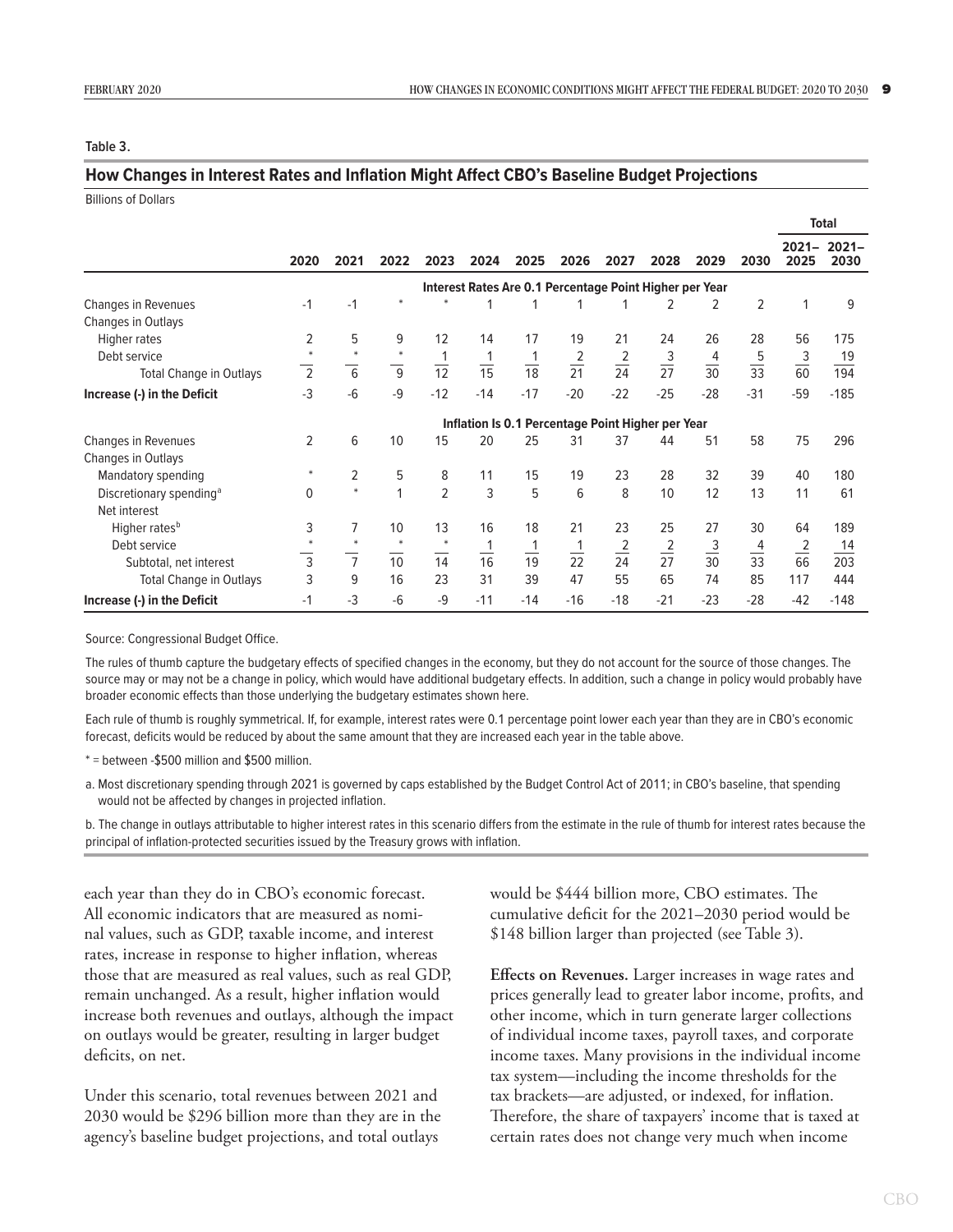#### <span id="page-8-0"></span>**Table 3.**

#### **How Changes in Interest Rates and Inflation Might Affect CBO's Baseline Budget Projections**

Billions of Dollars

|                                     |                                                         |                |                |                |                |                |                 |                |                |                |                | <b>Total</b>     |                  |
|-------------------------------------|---------------------------------------------------------|----------------|----------------|----------------|----------------|----------------|-----------------|----------------|----------------|----------------|----------------|------------------|------------------|
|                                     | 2020                                                    | 2021           | 2022           | 2023           | 2024           | 2025           | 2026            | 2027           | 2028           | 2029           | 2030           | $2021 -$<br>2025 | $2021 -$<br>2030 |
|                                     | Interest Rates Are 0.1 Percentage Point Higher per Year |                |                |                |                |                |                 |                |                |                |                |                  |                  |
| <b>Changes in Revenues</b>          | $-1$                                                    | $-1$           | $\ast$         |                |                |                |                 |                | 2              | 2              | 2              |                  | 9                |
| Changes in Outlays                  |                                                         |                |                |                |                |                |                 |                |                |                |                |                  |                  |
| Higher rates                        | 2                                                       | 5              | 9              | 12             | 14             | 17             | 19              | 21             | 24             | 26             | 28             | 56               | 175              |
| Debt service                        | $\ast$                                                  | $\ast$         | $\ast$         |                |                |                | $\frac{2}{21}$  | $\frac{2}{24}$ | $\frac{3}{27}$ | $\frac{4}{30}$ | $\frac{5}{33}$ | $\frac{3}{60}$   | 19               |
| <b>Total Change in Outlays</b>      | $\overline{2}$                                          | $\overline{6}$ | $\overline{9}$ | $\frac{1}{12}$ | $\frac{1}{15}$ | $\frac{1}{18}$ |                 |                |                |                |                |                  | 194              |
| Increase (-) in the Deficit         | $-3$                                                    | $-6$           | $-9$           | $-12$          | $-14$          | $-17$          | $-20$           | $-22$          | $-25$          | $-28$          | $-31$          | $-59$            | $-185$           |
|                                     | Inflation Is 0.1 Percentage Point Higher per Year       |                |                |                |                |                |                 |                |                |                |                |                  |                  |
| Changes in Revenues                 | 2                                                       | 6              | 10             | 15             | 20             | 25             | 31              | 37             | 44             | 51             | 58             | 75               | 296              |
| Changes in Outlays                  |                                                         |                |                |                |                |                |                 |                |                |                |                |                  |                  |
| Mandatory spending                  | $*$                                                     | 2              | 5              | 8              | 11             | 15             | 19              | 23             | 28             | 32             | 39             | 40               | 180              |
| Discretionary spending <sup>a</sup> | $\mathbf{0}$                                            | $\ast$         | 1              | $\overline{2}$ | $\overline{3}$ | 5              | 6               | 8              | 10             | 12             | 13             | 11               | 61               |
| Net interest                        |                                                         |                |                |                |                |                |                 |                |                |                |                |                  |                  |
| Higher rates <sup>b</sup>           | 3                                                       | 7              | 10             | 13             | 16             | 18             | 21              | 23             | 25             | 27             | 30             | 64               | 189              |
| Debt service                        |                                                         | $\ast$         | $\ast$         | $\ast$         | 1              | 1              |                 | $\frac{2}{24}$ | $\frac{2}{27}$ | $\frac{3}{30}$ | 4              | $\overline{2}$   | 14               |
| Subtotal, net interest              | $\overline{3}$                                          | $\overline{7}$ | 10             | 14             | 16             | 19             | $\overline{22}$ |                |                |                | $\frac{1}{33}$ | 66               | 203              |
| <b>Total Change in Outlays</b>      | 3                                                       | 9              | 16             | 23             | 31             | 39             | 47              | 55             | 65             | 74             | 85             | 117              | 444              |
| Increase (-) in the Deficit         | $-1$                                                    | $-3$           | $-6$           | $-9$           | $-11$          | $-14$          | $-16$           | $-18$          | $-21$          | $-23$          | $-28$          | $-42$            | $-148$           |

Source: Congressional Budget Office.

The rules of thumb capture the budgetary effects of specified changes in the economy, but they do not account for the source of those changes. The source may or may not be a change in policy, which would have additional budgetary effects. In addition, such a change in policy would probably have broader economic effects than those underlying the budgetary estimates shown here.

Each rule of thumb is roughly symmetrical. If, for example, interest rates were 0.1 percentage point lower each year than they are in CBO's economic forecast, deficits would be reduced by about the same amount that they are increased each year in the table above.

\* = between -\$500 million and \$500 million.

a. Most discretionary spending through 2021 is governed by caps established by the Budget Control Act of 2011; in CBO's baseline, that spending would not be affected by changes in projected inflation.

b. The change in outlays attributable to higher interest rates in this scenario differs from the estimate in the rule of thumb for interest rates because the principal of inflation-protected securities issued by the Treasury grows with inflation.

each year than they do in CBO's economic forecast. All economic indicators that are measured as nominal values, such as GDP, taxable income, and interest rates, increase in response to higher inflation, whereas those that are measured as real values, such as real GDP, remain unchanged. As a result, higher inflation would increase both revenues and outlays, although the impact on outlays would be greater, resulting in larger budget deficits, on net.

Under this scenario, total revenues between 2021 and 2030 would be \$296 billion more than they are in the agency's baseline budget projections, and total outlays

would be \$444 billion more, CBO estimates. The cumulative deficit for the 2021–2030 period would be \$148 billion larger than projected (see [Table 3](#page-8-0)).

**Effects on Revenues.** Larger increases in wage rates and prices generally lead to greater labor income, profits, and other income, which in turn generate larger collections of individual income taxes, payroll taxes, and corporate income taxes. Many provisions in the individual income tax system—including the income thresholds for the tax brackets—are adjusted, or indexed, for inflation. Therefore, the share of taxpayers' income that is taxed at certain rates does not change very much when income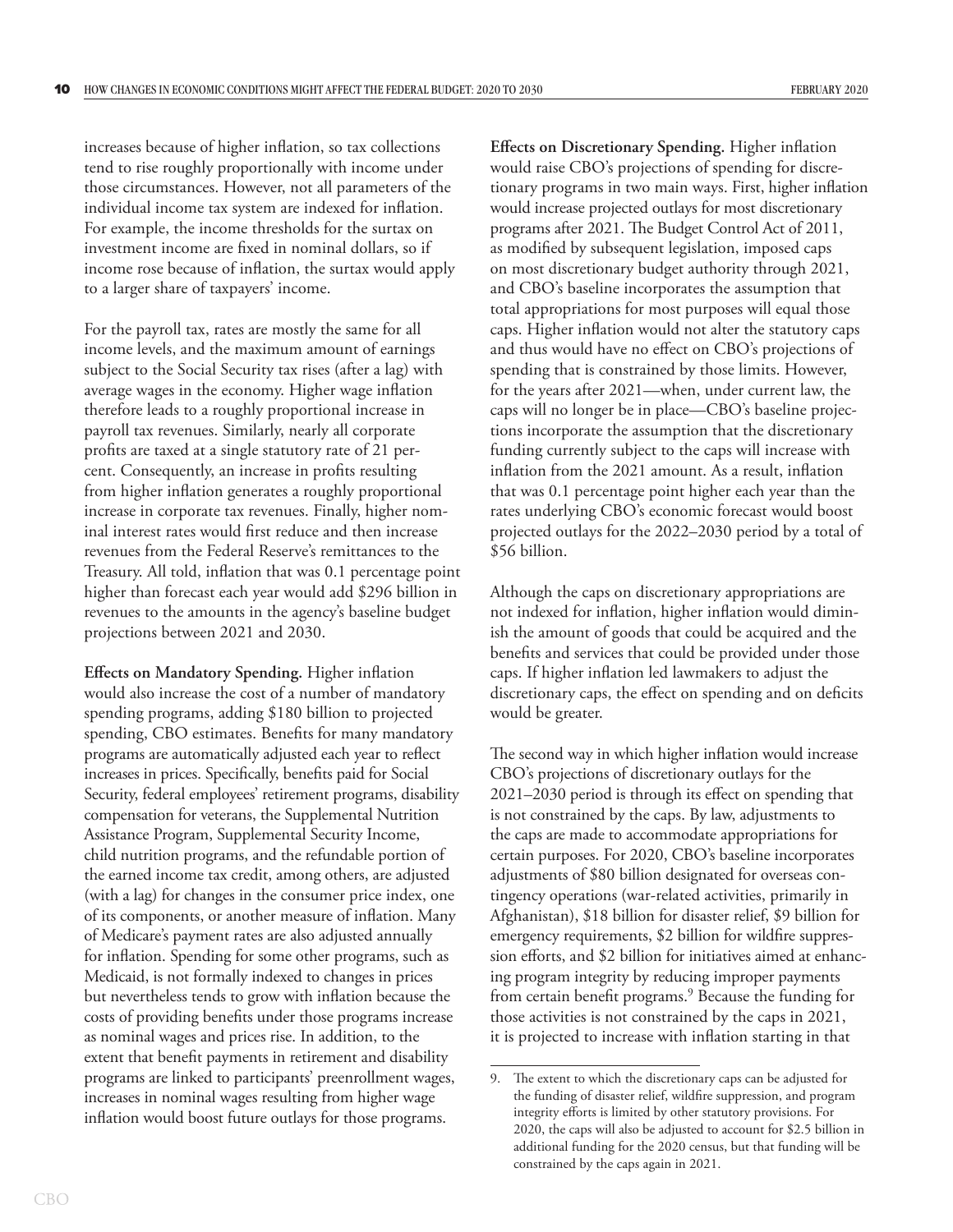increases because of higher inflation, so tax collections tend to rise roughly proportionally with income under those circumstances. However, not all parameters of the individual income tax system are indexed for inflation. For example, the income thresholds for the surtax on investment income are fixed in nominal dollars, so if income rose because of inflation, the surtax would apply to a larger share of taxpayers' income.

For the payroll tax, rates are mostly the same for all income levels, and the maximum amount of earnings subject to the Social Security tax rises (after a lag) with average wages in the economy. Higher wage inflation therefore leads to a roughly proportional increase in payroll tax revenues. Similarly, nearly all corporate profits are taxed at a single statutory rate of 21 percent. Consequently, an increase in profits resulting from higher inflation generates a roughly proportional increase in corporate tax revenues. Finally, higher nominal interest rates would first reduce and then increase revenues from the Federal Reserve's remittances to the Treasury. All told, inflation that was 0.1 percentage point higher than forecast each year would add \$296 billion in revenues to the amounts in the agency's baseline budget projections between 2021 and 2030.

**Effects on Mandatory Spending.** Higher inflation would also increase the cost of a number of mandatory spending programs, adding \$180 billion to projected spending, CBO estimates. Benefits for many mandatory programs are automatically adjusted each year to reflect increases in prices. Specifically, benefits paid for Social Security, federal employees' retirement programs, disability compensation for veterans, the Supplemental Nutrition Assistance Program, Supplemental Security Income, child nutrition programs, and the refundable portion of the earned income tax credit, among others, are adjusted (with a lag) for changes in the consumer price index, one of its components, or another measure of inflation. Many of Medicare's payment rates are also adjusted annually for inflation. Spending for some other programs, such as Medicaid, is not formally indexed to changes in prices but nevertheless tends to grow with inflation because the costs of providing benefits under those programs increase as nominal wages and prices rise. In addition, to the extent that benefit payments in retirement and disability programs are linked to participants' preenrollment wages, increases in nominal wages resulting from higher wage inflation would boost future outlays for those programs.

**Effects on Discretionary Spending.** Higher inflation would raise CBO's projections of spending for discretionary programs in two main ways. First, higher inflation would increase projected outlays for most discretionary programs after 2021. The Budget Control Act of 2011, as modified by subsequent legislation, imposed caps on most discretionary budget authority through 2021, and CBO's baseline incorporates the assumption that total appropriations for most purposes will equal those caps. Higher inflation would not alter the statutory caps and thus would have no effect on CBO's projections of spending that is constrained by those limits. However, for the years after 2021—when, under current law, the caps will no longer be in place—CBO's baseline projections incorporate the assumption that the discretionary funding currently subject to the caps will increase with inflation from the 2021 amount. As a result, inflation that was 0.1 percentage point higher each year than the rates underlying CBO's economic forecast would boost projected outlays for the 2022–2030 period by a total of \$56 billion.

Although the caps on discretionary appropriations are not indexed for inflation, higher inflation would diminish the amount of goods that could be acquired and the benefits and services that could be provided under those caps. If higher inflation led lawmakers to adjust the discretionary caps, the effect on spending and on deficits would be greater.

The second way in which higher inflation would increase CBO's projections of discretionary outlays for the 2021–2030 period is through its effect on spending that is not constrained by the caps. By law, adjustments to the caps are made to accommodate appropriations for certain purposes. For 2020, CBO's baseline incorporates adjustments of \$80 billion designated for overseas contingency operations (war-related activities, primarily in Afghanistan), \$18 billion for disaster relief, \$9 billion for emergency requirements, \$2 billion for wildfire suppression efforts, and \$2 billion for initiatives aimed at enhancing program integrity by reducing improper payments from certain benefit programs.<sup>9</sup> Because the funding for those activities is not constrained by the caps in 2021, it is projected to increase with inflation starting in that

<sup>9.</sup> The extent to which the discretionary caps can be adjusted for the funding of disaster relief, wildfire suppression, and program integrity efforts is limited by other statutory provisions. For 2020, the caps will also be adjusted to account for \$2.5 billion in additional funding for the 2020 census, but that funding will be constrained by the caps again in 2021.